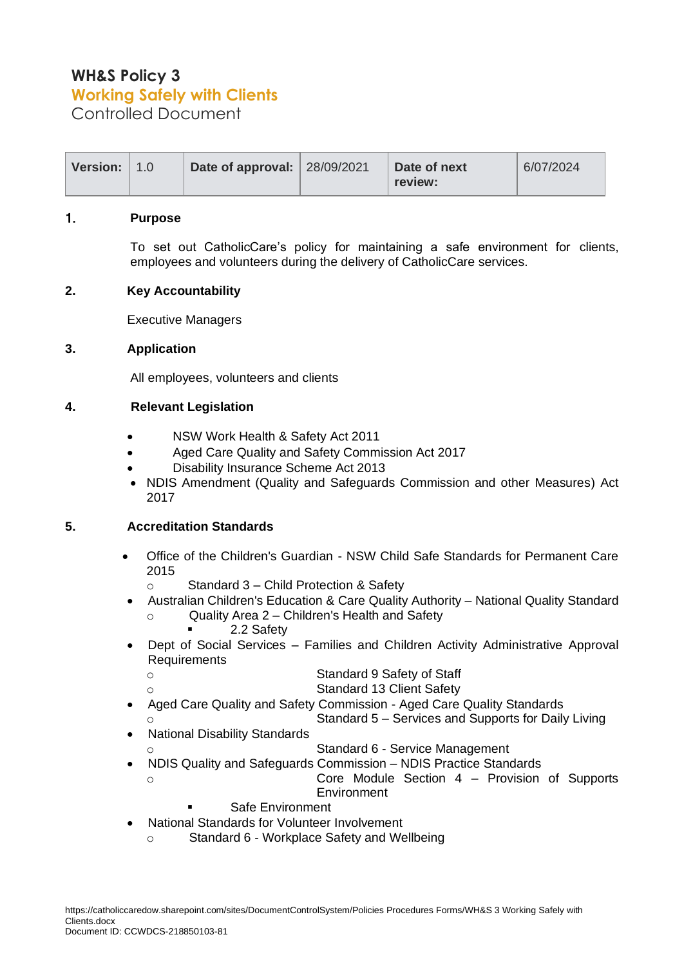# **WH&S Policy 3 Working Safely with Clients**

Controlled Document

| Version: 1.0 | Date of approval:   28/09/2021 | Date of next | 6/07/2024 |
|--------------|--------------------------------|--------------|-----------|
|              |                                | review:      |           |

#### 1. **Purpose**

To set out CatholicCare's policy for maintaining a safe environment for clients, employees and volunteers during the delivery of CatholicCare services.

## **2. Key Accountability**

Executive Managers

## **3. Application**

All employees, volunteers and clients

## **4. Relevant Legislation**

- NSW Work Health & Safety Act 2011
- Aged Care Quality and Safety Commission Act 2017
- Disability Insurance Scheme Act 2013
- NDIS Amendment (Quality and Safeguards Commission and other Measures) Act 2017

## **5. Accreditation Standards**

- Office of the Children's Guardian NSW Child Safe Standards for Permanent Care 2015
	- o Standard 3 Child Protection & Safety
- Australian Children's Education & Care Quality Authority National Quality Standard
	- o Quality Area 2 Children's Health and Safety
		- 2.2 Safety
- Dept of Social Services Families and Children Activity Administrative Approval Requirements

- o Standard 9 Safety of Staff Standard 13 Client Safety
- Aged Care Quality and Safety Commission Aged Care Quality Standards
- Standard 5 Services and Supports for Daily Living
- National Disability Standards
	- Standard 6 Service Management
- NDIS Quality and Safeguards Commission NDIS Practice Standards Core Module Section  $4$  – Provision of Supports
	- **Environment**
	- **Safe Environment**
	- National Standards for Volunteer Involvement
	- o Standard 6 Workplace Safety and Wellbeing